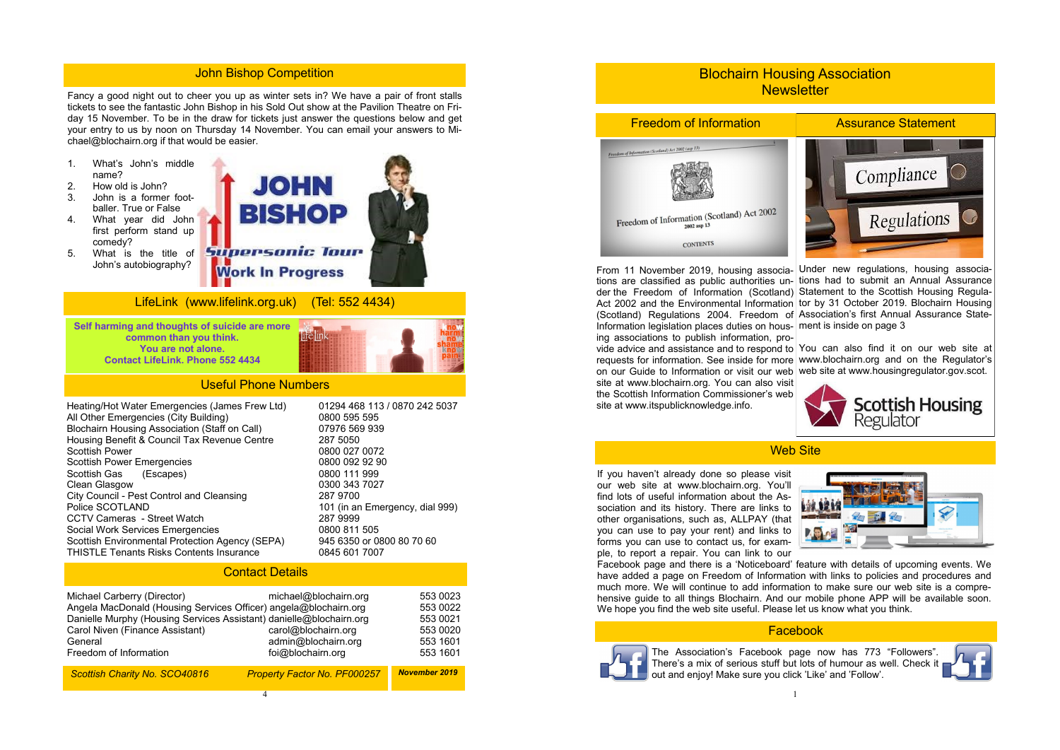4

Fancy a good night out to cheer you up as winter sets in? We have a pair of front stalls tickets to see the fantastic John Bishop in his Sold Out show at the Pavilion Theatre on Friday 15 November. To be in the draw for tickets just answer the questions below and get your entry to us by noon on Thursday 14 November. You can email your answers to Michael@blochairn.org if that would be easier.

- 1. What's John's middle name?
- 2. How old is John?
- 3. John is a former footballer. True or False
- 4. What year did John first perform stand up comedy?
- 5. What is the title of John's autobiography?



## LifeLink (www.lifelink.org.uk) (Tel: 552 4434)

**Self harming and thoughts of suicide are more common than you think. You are not alone. Contact LifeLink. Phone 552 4434** 



| Heating/Hot Water Emergencies (James Frew Ltd)<br>All Other Emergencies (City Building) | 01294 468 113 / 0870 242 5037<br>0800 595 595 |
|-----------------------------------------------------------------------------------------|-----------------------------------------------|
| <b>Blochairn Housing Association (Staff on Call)</b>                                    | 07976 569 939                                 |
| Housing Benefit & Council Tax Revenue Centre                                            | 287 5050                                      |
| <b>Scottish Power</b>                                                                   | 0800 027 0072                                 |
| <b>Scottish Power Emergencies</b>                                                       | 0800 092 92 90                                |
| Scottish Gas (Escapes)                                                                  | 0800 111 999                                  |
| <b>Clean Glasgow</b>                                                                    | 0300 343 7027                                 |
| City Council - Pest Control and Cleansing                                               | 287 9700                                      |
| Police SCOTLAND                                                                         | 101 (in an Emergency, dial 999)               |
| <b>CCTV Cameras - Street Watch</b>                                                      | 287 9999                                      |
| <b>Social Work Services Emergencies</b>                                                 | 0800 811 505                                  |
| Scottish Environmental Protection Agency (SEPA)                                         | 945 6350 or 0800 80 70 60                     |
| <b>THISTLE Tenants Risks Contents Insurance</b>                                         | 0845 601 7007                                 |

# Blochairn Housing Association **Newsletter**

From 11 November 2019, housing associations are classified as public authorities under the Freedom of Information (Scotland) Statement to the Scottish Housing Regula-Act 2002 and the Environmental Information tor by 31 October 2019. Blochairn Housing (Scotland) Regulations 2004. Freedom of Association's first Annual Assurance State-Information legislation places duties on housing associations to publish information, provide advice and assistance and to respond to  $\sqrt{v}$  ran also find it on our web site at requests for information. See inside for more on our Guide to Information or visit our web site at www.blochairn.org. You can also visit the Scottish Information Commissioner's web site at www.itspublicknowledge.info. Under new regulations, housing associations had to submit an Annual Assurance ment is inside on page 3 www.blochairn.org and on the Regulator's web site at www.housingregulator.gov.scot.

### Useful Phone Numbers

If you haven't already done so please visit our web site at www.blochairn.org. You'll find lots of useful information about the Association and its history. There are links to other organisations, such as, ALLPAY (that you can use to pay your rent) and links to forms you can use to contact us, for example, to report a repair. You can link to our Facebook page and there is a 'Noticeboard' feature with details of upcoming events. We have added a page on Freedom of Information with links to policies and procedures and much more. We will continue to add information to make sure our web site is a comprehensive guide to all things Blochairn. And our mobile phone APP will be available soon. We hope you find the web site useful. Please let us know what you think.

## Contact Details

| Michael Carberry (Director)<br>Angela MacDonald (Housing Services Officer) angela@blochairn.org<br>Danielle Murphy (Housing Services Assistant) danielle@blochairn.org<br>Carol Niven (Finance Assistant)<br>General<br>Freedom of Information | michael@blochairn.org<br>carol@blochairn.org<br>admin@blochairn.org<br>foi@blochairn.org | 553 0023<br>553 0022<br>553 0021<br>553 0020<br>553 1601<br>553 1601 |
|------------------------------------------------------------------------------------------------------------------------------------------------------------------------------------------------------------------------------------------------|------------------------------------------------------------------------------------------|----------------------------------------------------------------------|
| Scottish Charity No. SCO40816                                                                                                                                                                                                                  | <b>Property Factor No. PF000257</b>                                                      | <b>November 2019</b>                                                 |

## John Bishop Competition









# Web Site

### Facebook



The Association's Facebook page now has 773 "Followers". There's a mix of serious stuff but lots of humour as well. Check it out and enjoy! Make sure you click 'Like' and 'Follow'.